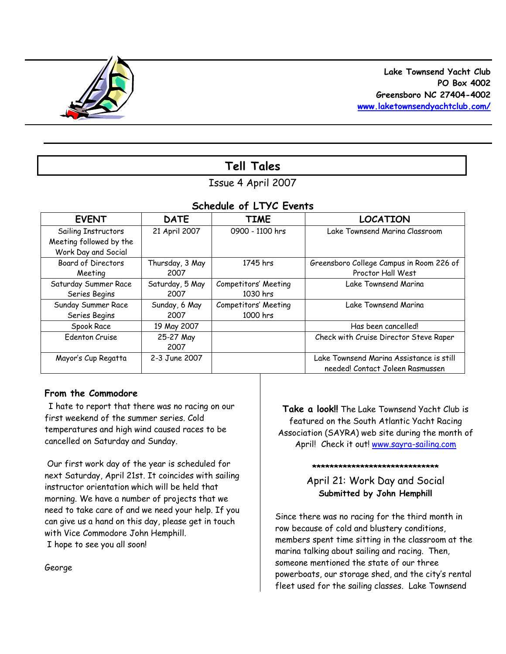

# **Tell Tales**

# Issue 4 April 2007

# *Schedule of LTYC Events*

| <b>EVENT</b>              | <b>DATE</b>     | <b>TIME</b>          | <b>LOCATION</b>                          |
|---------------------------|-----------------|----------------------|------------------------------------------|
| Sailing Instructors       | 21 April 2007   | 0900 - 1100 hrs      | Lake Townsend Marina Classroom           |
| Meeting followed by the   |                 |                      |                                          |
| Work Day and Social       |                 |                      |                                          |
| <b>Board of Directors</b> | Thursday, 3 May | 1745 hrs             | Greensboro College Campus in Room 226 of |
| Meeting                   | 2007            |                      | Proctor Hall West                        |
| Saturday Summer Race      | Saturday, 5 May | Competitors' Meeting | Lake Townsend Marina                     |
| Series Begins             | 2007            | 1030 hrs             |                                          |
| Sunday Summer Race        | Sunday, 6 May   | Competitors' Meeting | Lake Townsend Marina                     |
| Series Begins             | 2007            | 1000 hrs             |                                          |
| Spook Race                | 19 May 2007     |                      | Has been cancelled!                      |
| <b>Edenton Cruise</b>     | 25-27 May       |                      | Check with Cruise Director Steve Raper   |
|                           | 2007            |                      |                                          |
| Mayor's Cup Regatta       | 2-3 June 2007   |                      | Lake Townsend Marina Assistance is still |
|                           |                 |                      | needed! Contact Joleen Rasmussen         |

# **From the Commodore**

I hate to report that there was no racing on our first weekend of the summer series. Cold temperatures and high wind caused races to be cancelled on Saturday and Sunday.

Our first work day of the year is scheduled for next Saturday, April 21st. It coincides with sailing instructor orientation which will be held that morning. We have a number of projects that we need to take care of and we need your help. If you can give us a hand on this day, please get in touch with Vice Commodore John Hemphill.

I hope to see you all soon!

George

**Take a look!!** The Lake Townsend Yacht Club is featured on the South Atlantic Yacht Racing Association (SAYRA) web site during the month of April! Check it out! www.sayra-sailing.com

**\*\*\*\*\*\*\*\*\*\*\*\*\*\*\*\*\*\*\*\*\*\*\*\*\*\*\*\*\***

April 21: Work Day and Social **Submitted by John Hemphill**

Since there was no racing for the third month in row because of cold and blustery conditions, members spent time sitting in the classroom at the marina talking about sailing and racing. Then, someone mentioned the state of our three powerboats, our storage shed, and the city's rental fleet used for the sailing classes. Lake Townsend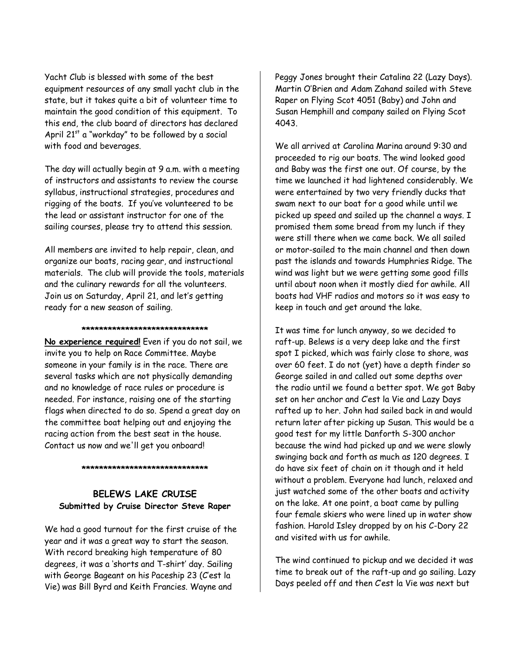Yacht Club is blessed with some of the best equipment resources of any small yacht club in the state, but it takes quite a bit of volunteer time to maintain the good condition of this equipment. To this end, the club board of directors has declared April  $21^{st}$  a "workday" to be followed by a social with food and beverages.

The day will actually begin at 9 a.m. with a meeting of instructors and assistants to review the course syllabus, instructional strategies, procedures and rigging of the boats. If you've volunteered to be the lead or assistant instructor for one of the sailing courses, please try to attend this session.

All members are invited to help repair, clean, and organize our boats, racing gear, and instructional materials. The club will provide the tools, materials and the culinary rewards for all the volunteers. Join us on Saturday, April 21, and let's getting ready for a new season of sailing.

### **\*\*\*\*\*\*\*\*\*\*\*\*\*\*\*\*\*\*\*\*\*\*\*\*\*\*\*\*\***

**No experience required!** Even if you do not sail, we invite you to help on Race Committee. Maybe someone in your family is in the race. There are several tasks which are not physically demanding and no knowledge of race rules or procedure is needed. For instance, raising one of the starting flags when directed to do so. Spend a great day on the committee boat helping out and enjoying the racing action from the best seat in the house. Contact us now and we'll get you onboard!

### **\*\*\*\*\*\*\*\*\*\*\*\*\*\*\*\*\*\*\*\*\*\*\*\*\*\*\*\*\***

# **BELEWS LAKE CRUISE Submitted by Cruise Director Steve Raper**

We had a good turnout for the first cruise of the year and it was a great way to start the season. With record breaking high temperature of 80 degrees, it was a 'shorts and T-shirt' day. Sailing with George Bageant on his Paceship 23 (*C'est la Vie*) was Bill Byrd and Keith Francies. Wayne and

Peggy Jones brought their Catalina 22 (*Lazy Days*). Martin O'Brien and Adam Zahand sailed with Steve Raper on Flying Scot 4051 (*Baby*) and John and Susan Hemphill and company sailed on Flying Scot 4043.

We all arrived at Carolina Marina around 9:30 and proceeded to rig our boats. The wind looked good and *Baby* was the first one out. Of course, by the time we launched it had lightened considerably. We were entertained by two very friendly ducks that swam next to our boat for a good while until we picked up speed and sailed up the channel a ways. I promised them some bread from my lunch if they were still there when we came back. We all sailed or motor-sailed to the main channel and then down past the islands and towards Humphries Ridge. The wind was light but we were getting some good fills until about noon when it mostly died for awhile. All boats had VHF radios and motors so it was easy to keep in touch and get around the lake.

It was time for lunch anyway, so we decided to raft-up. Belews is a very deep lake and the first spot I picked, which was fairly close to shore, was over 60 feet. I do not (yet) have a depth finder so George sailed in and called out some depths over the radio until we found a better spot. We got *Baby* set on her anchor and *C'est la Vie* and *Lazy Days* rafted up to her. John had sailed back in and would return later after picking up Susan. This would be a good test for my little Danforth S-300 anchor because the wind had picked up and we were slowly swinging back and forth as much as 120 degrees. I do have six feet of chain on it though and it held without a problem. Everyone had lunch, relaxed and just watched some of the other boats and activity on the lake. At one point, a boat came by pulling four female skiers who were lined up in water show fashion. Harold Isley dropped by on his C-Dory 22 and visited with us for awhile.

The wind continued to pickup and we decided it was time to break out of the raft-up and go sailing. *Lazy Days* peeled off and then *C'est la Vie* was next but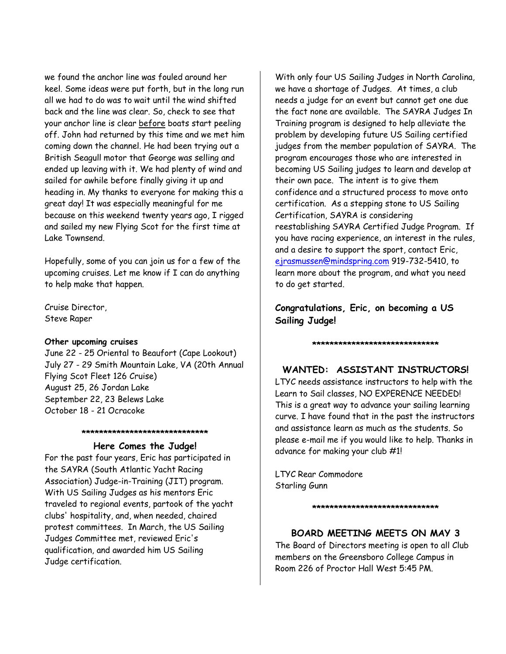we found the anchor line was fouled around her keel. Some ideas were put forth, but in the long run all we had to do was to wait until the wind shifted back and the line was clear. So, check to see that your anchor line is clear before boats start peeling off. John had returned by this time and we met him coming down the channel. He had been trying out a British Seagull motor that George was selling and ended up leaving with it. We had plenty of wind and sailed for awhile before finally giving it up and heading in. My thanks to everyone for making this a great day! It was especially meaningful for me because on this weekend twenty years ago, I rigged and sailed my new Flying Scot for the first time at Lake Townsend.

Hopefully, some of you can join us for a few of the upcoming cruises. Let me know if I can do anything to help make that happen.

Cruise Director, Steve Raper

## **Other upcoming cruises**

June 22 - 25 Oriental to Beaufort (Cape Lookout) July 27 - 29 Smith Mountain Lake, VA (20th Annual Flying Scot Fleet 126 Cruise) August 25, 26 Jordan Lake September 22, 23 Belews Lake October 18 - 21 Ocracoke

## **\*\*\*\*\*\*\*\*\*\*\*\*\*\*\*\*\*\*\*\*\*\*\*\*\*\*\*\*\***

### **Here Comes the Judge!**

For the past four years, Eric has participated in the SAYRA (South Atlantic Yacht Racing Association) Judge-in-Training (JIT) program. With US Sailing Judges as his mentors Eric traveled to regional events, partook of the yacht clubs' hospitality, and, when needed, chaired protest committees. In March, the US Sailing Judges Committee met, reviewed Eric's qualification, and awarded him US Sailing Judge certification.

With only four US Sailing Judges in North Carolina, we have a shortage of Judges. At times, a club needs a judge for an event but cannot get one due the fact none are available. The SAYRA Judges In Training program is designed to help alleviate the problem by developing future US Sailing certified judges from the member population of SAYRA. The program encourages those who are interested in becoming US Sailing judges to learn and develop at their own pace. The intent is to give them confidence and a structured process to move onto certification. As a stepping stone to US Sailing Certification, SAYRA is considering reestablishing SAYRA Certified Judge Program. If you have racing experience, an interest in the rules, and a desire to support the sport, contact Eric, ejrasmussen@mindspring.com 919-732-5410, to learn more about the program, and what you need to do get started.

**Congratulations, Eric, on becoming a US Sailing Judge!**

# **\*\*\*\*\*\*\*\*\*\*\*\*\*\*\*\*\*\*\*\*\*\*\*\*\*\*\*\*\***

# **WANTED: ASSISTANT INSTRUCTORS!**

LTYC needs assistance instructors to help with the Learn to Sail classes, NO EXPERENCE NEEDED! This is a great way to advance your sailing learning curve. I have found that in the past the instructors and assistance learn as much as the students. So please e-mail me if you would like to help. Thanks in advance for making your club #1!

LTYC Rear Commodore Starling Gunn

**\*\*\*\*\*\*\*\*\*\*\*\*\*\*\*\*\*\*\*\*\*\*\*\*\*\*\*\*\***

## **BOARD MEETING MEETS ON MAY 3**

The Board of Directors meeting is open to all Club members on the Greensboro College Campus in Room 226 of Proctor Hall West 5:45 PM.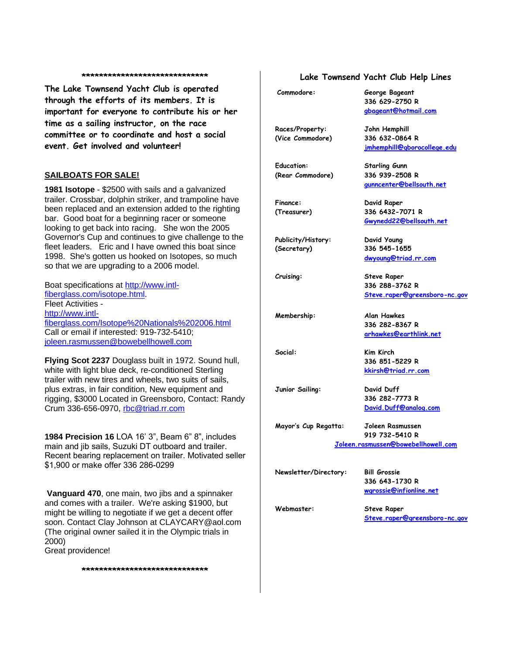#### **\*\*\*\*\*\*\*\*\*\*\*\*\*\*\*\*\*\*\*\*\*\*\*\*\*\*\*\*\***

**The Lake Townsend Yacht Club is operated through the efforts of its members. It is important for everyone to contribute his or her time as a sailing instructor, on the race committee or to coordinate and host a social event. Get involved and volunteer!**

### **SAILBOATS FOR SALE!**

**1981 Isotope** - \$2500 with sails and a galvanized trailer. Crossbar, dolphin striker, and trampoline have been replaced and an extension added to the righting bar. Good boat for a beginning racer or someone looking to get back into racing. She won the 2005 Governor's Cup and continues to give challenge to the fleet leaders. Eric and I have owned this boat since 1998. She's gotten us hooked on Isotopes, so much so that we are upgrading to a 2006 model.

Boat specifications at http://www.intlfiberglass.com/isotope.html. Fleet Activities http://www.intlfiberglass.com/Isotope%20Nationals%202006.html Call or email if interested: 919-732-5410; joleen.rasmussen@bowebellhowell.com

**Flying Scot 2237** Douglass built in 1972. Sound hull, white with light blue deck, re-conditioned Sterling trailer with new tires and wheels, two suits of sails, plus extras, in fair condition, New equipment and rigging, \$3000 Located in Greensboro, Contact: Randy Crum 336-656-0970, rbc@triad.rr.com

**1984 Precision 16** LOA 16' 3", Beam 6" 8", includes main and jib sails, Suzuki DT outboard and trailer. Recent bearing replacement on trailer. Motivated seller \$1,900 or make offer 336 286-0299

**Vanguard 470**, one main, two jibs and a spinnaker and comes with a trailer. We're asking \$1900, but might be willing to negotiate if we get a decent offer soon. Contact Clay Johnson at CLAYCARY@aol.com (The original owner sailed it in the Olympic trials in 2000) Great providence!

### **\*\*\*\*\*\*\*\*\*\*\*\*\*\*\*\*\*\*\*\*\*\*\*\*\*\*\*\*\***

## **Lake Townsend Yacht Club Help Lines**

**Commodore: George Bageant**

**gbageant@hotmail.com Races/Property: John Hemphill**

**(Vice Commodore) 336 632-0864 R jmhemphill@gborocollege.edu**

**336 629-2750 R**

**Education: Starling Gunn (Rear Commodore) 336 939-2508 R gunncenter@bellsouth.net**

**Finance: David Raper (Treasurer) 336 6432-7071 R Gwynedd22@bellsouth.net**

**Publicity/History: David Young (Secretary) 336 545-1655 dwyoung@triad.rr.com**

> **336 282-8367 R arhawkes@earthlink.net**

**336 851-5229 R kkirsh@triad.rr.com**

**Cruising: Steve Raper 336 288-3762 R Steve.raper@greensboro-nc.gov**

**Membership: Alan Hawkes**

**Social: Kim Kirch**

**Junior Sailing: David Duff**

**336 282-7773 R David.Duff@analog.com**

**Mayor's Cup Regatta: Joleen Rasmussen 919 732-5410 R Joleen.rasmussen@bowebellhowell.com**

**Newsletter/Directory: Bill Grossie**

**336 643-1730 R wgrossie@infionline.net**

**Webmaster: Steve Raper Steve.raper@greensboro-nc.gov**